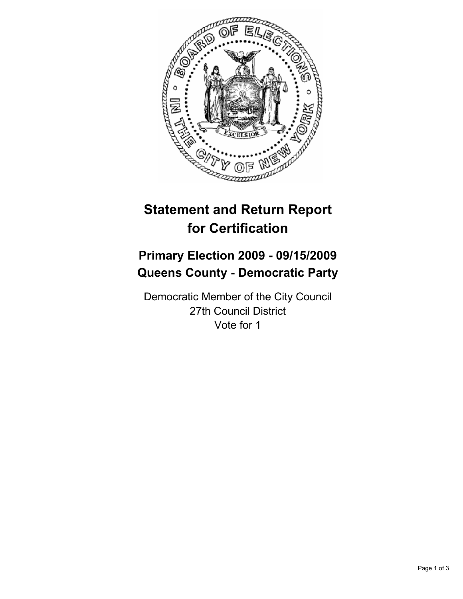

# **Statement and Return Report for Certification**

## **Primary Election 2009 - 09/15/2009 Queens County - Democratic Party**

Democratic Member of the City Council 27th Council District Vote for 1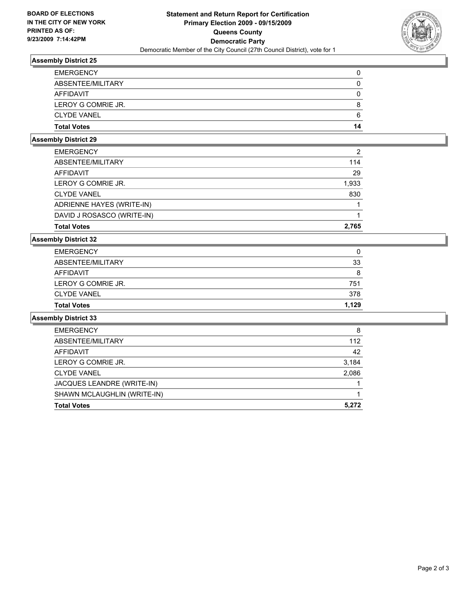

## **Assembly District 25**

| <b>EMERGENCY</b>   | 0  |
|--------------------|----|
| ABSENTEE/MILITARY  | 0  |
| AFFIDAVIT          | 0  |
| LEROY G COMRIE JR. | 8  |
| <b>CLYDE VANEL</b> | 6  |
| <b>Total Votes</b> | 14 |

## **Assembly District 29**

| <b>Total Votes</b>         | 2.765 |
|----------------------------|-------|
| DAVID J ROSASCO (WRITE-IN) |       |
| ADRIENNE HAYES (WRITE-IN)  |       |
| <b>CLYDE VANEL</b>         | 830   |
| LEROY G COMRIE JR.         | 1,933 |
| AFFIDAVIT                  | 29    |
| ABSENTEE/MILITARY          | 114   |
| <b>EMERGENCY</b>           | 2     |

#### **Assembly District 32**

| <b>Total Votes</b> | 1.129 |
|--------------------|-------|
| <b>CLYDE VANEL</b> | 378   |
| LEROY G COMRIE JR. | 751   |
| AFFIDAVIT          | 8     |
| ABSENTEE/MILITARY  | 33    |
| <b>EMERGENCY</b>   | 0     |

### **Assembly District 33**

| <b>Total Votes</b>          | 5.272 |
|-----------------------------|-------|
| SHAWN MCLAUGHLIN (WRITE-IN) |       |
| JACQUES LEANDRE (WRITE-IN)  |       |
| <b>CLYDE VANEL</b>          | 2,086 |
| LEROY G COMRIE JR.          | 3,184 |
| AFFIDAVIT                   | 42    |
| ABSENTEE/MILITARY           | 112   |
| <b>EMERGENCY</b>            | 8     |